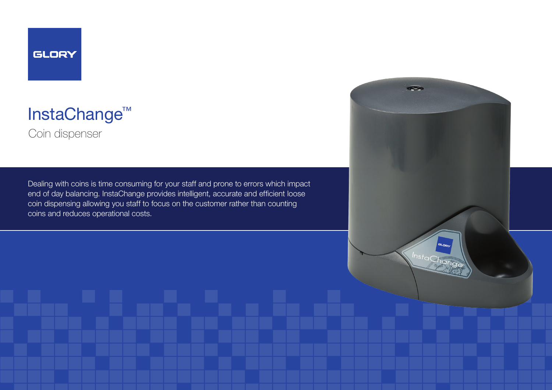InstaChange™

Coin dispenser

Dealing with coins is time consuming for your staff and prone to errors which impact end of day balancing. InstaChange provides intelligent, accurate and efficient loose coin dispensing allowing you staff to focus on the customer rather than counting coins and reduces operational costs.